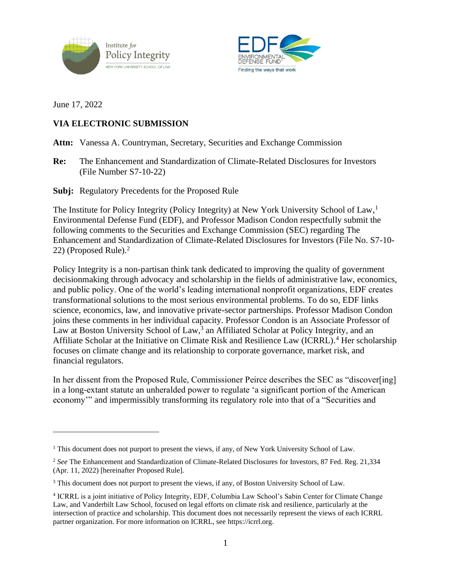



June 17, 2022

# **VIA ELECTRONIC SUBMISSION**

Attn: Vanessa A. Countryman, Secretary, Securities and Exchange Commission

**Re:** The Enhancement and Standardization of Climate-Related Disclosures for Investors (File Number S7-10-22)

**Subj:** Regulatory Precedents for the Proposed Rule

The Institute for Policy Integrity (Policy Integrity) at New York University School of Law,<sup>1</sup> Environmental Defense Fund (EDF), and Professor Madison Condon respectfully submit the following comments to the Securities and Exchange Commission (SEC) regarding The Enhancement and Standardization of Climate-Related Disclosures for Investors (File No. S7-10- 22) (Proposed Rule).<sup>2</sup>

<span id="page-0-0"></span>Policy Integrity is a non-partisan think tank dedicated to improving the quality of government decisionmaking through advocacy and scholarship in the fields of administrative law, economics, and public policy. One of the world's leading international nonprofit organizations, EDF creates transformational solutions to the most serious environmental problems. To do so, EDF links science, economics, law, and innovative private-sector partnerships. Professor Madison Condon joins these comments in her individual capacity. Professor Condon is an Associate Professor of Law at Boston University School of Law,<sup>3</sup> an Affiliated Scholar at Policy Integrity, and an Affiliate Scholar at the Initiative on Climate Risk and Resilience Law (ICRRL). <sup>4</sup> Her scholarship focuses on climate change and its relationship to corporate governance, market risk, and financial regulators.

<span id="page-0-1"></span>In her dissent from the Proposed Rule, Commissioner Peirce describes the SEC as "discover[ing] in a long-extant statute an unheralded power to regulate 'a significant portion of the American economy'" and impermissibly transforming its regulatory role into that of a "Securities and

<sup>&</sup>lt;sup>1</sup> This document does not purport to present the views, if any, of New York University School of Law.

<sup>&</sup>lt;sup>2</sup> See The Enhancement and Standardization of Climate-Related Disclosures for Investors, 87 Fed. Reg. 21,334 (Apr. 11, 2022) [hereinafter Proposed Rule].

<sup>&</sup>lt;sup>3</sup> This document does not purport to present the views, if any, of Boston University School of Law.

<sup>4</sup> ICRRL is a joint initiative of Policy Integrity, EDF, Columbia Law School's Sabin Center for Climate Change Law, and Vanderbilt Law School, focused on legal efforts on climate risk and resilience, particularly at the intersection of practice and scholarship. This document does not necessarily represent the views of each ICRRL partner organization. For more information on ICRRL, see [https://icrrl.org.](https://icrrl.org/)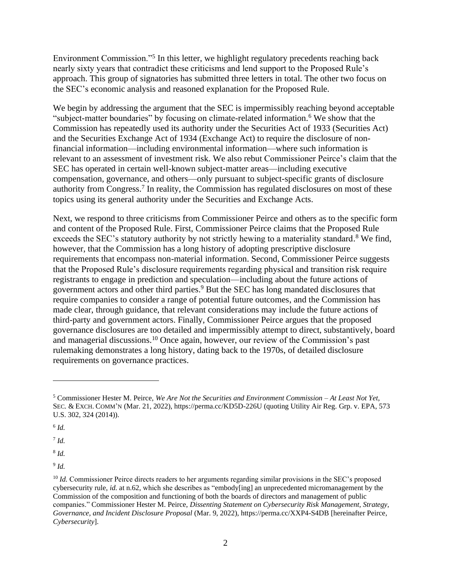<span id="page-1-0"></span>Environment Commission."<sup>5</sup> In this letter, we highlight regulatory precedents reaching back nearly sixty years that contradict these criticisms and lend support to the Proposed Rule's approach. This group of signatories has submitted three letters in total. The other two focus on the SEC's economic analysis and reasoned explanation for the Proposed Rule.

We begin by addressing the argument that the SEC is impermissibly reaching beyond acceptable "subject-matter boundaries" by focusing on climate-related information.<sup>6</sup> We show that the Commission has repeatedly used its authority under the Securities Act of 1933 (Securities Act) and the Securities Exchange Act of 1934 (Exchange Act) to require the disclosure of nonfinancial information—including environmental information—where such information is relevant to an assessment of investment risk. We also rebut Commissioner Peirce's claim that the SEC has operated in certain well-known subject-matter areas—including executive compensation, governance, and others—only pursuant to subject-specific grants of disclosure authority from Congress.<sup>7</sup> In reality, the Commission has regulated disclosures on most of these topics using its general authority under the Securities and Exchange Acts.

Next, we respond to three criticisms from Commissioner Peirce and others as to the specific form and content of the Proposed Rule. First, Commissioner Peirce claims that the Proposed Rule exceeds the SEC's statutory authority by not strictly hewing to a materiality standard.<sup>8</sup> We find, however, that the Commission has a long history of adopting prescriptive disclosure requirements that encompass non-material information. Second, Commissioner Peirce suggests that the Proposed Rule's disclosure requirements regarding physical and transition risk require registrants to engage in prediction and speculation—including about the future actions of government actors and other third parties. <sup>9</sup> But the SEC has long mandated disclosures that require companies to consider a range of potential future outcomes, and the Commission has made clear, through guidance, that relevant considerations may include the future actions of third-party and government actors. Finally, Commissioner Peirce argues that the proposed governance disclosures are too detailed and impermissibly attempt to direct, substantively, board and managerial discussions.<sup>10</sup> Once again, however, our review of the Commission's past rulemaking demonstrates a long history, dating back to the 1970s, of detailed disclosure requirements on governance practices.

6 *Id.*

7 *Id.*

8 *Id.*

9 *Id.* 

<span id="page-1-1"></span><sup>5</sup> Commissioner Hester M. Peirce, *We Are Not the Securities and Environment Commission – At Least Not Yet*, SEC. & EXCH. COMM'N (Mar. 21, 2022)[, https://perma.cc/KD5D-226U](https://perma.cc/KD5D-226U) (quoting Utility Air Reg. Grp. v. EPA, 573 U.S. 302, 324 (2014)).

<sup>&</sup>lt;sup>10</sup> *Id.* Commissioner Peirce directs readers to her arguments regarding similar provisions in the SEC's proposed cybersecurity rule, *id.* at n.62, which she describes as "embody[ing] an unprecedented micromanagement by the Commission of the composition and functioning of both the boards of directors and management of public companies." Commissioner Hester M. Peirce, *Dissenting Statement on Cybersecurity Risk Management, Strategy, Governance, and Incident Disclosure Proposal* (Mar. 9, 2022), <https://perma.cc/XXP4-S4DB> [hereinafter Peirce, *Cybersecurity*].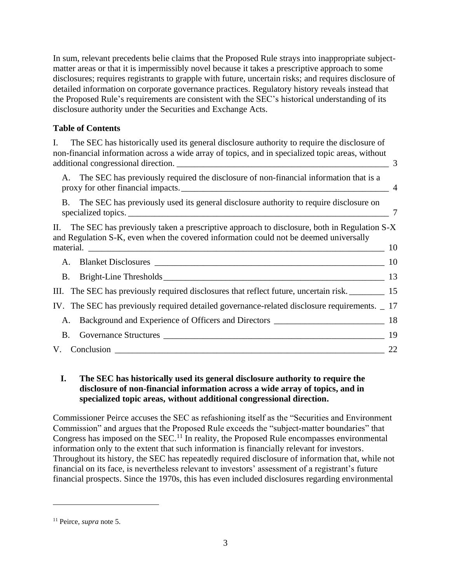In sum, relevant precedents belie claims that the Proposed Rule strays into inappropriate subjectmatter areas or that it is impermissibly novel because it takes a prescriptive approach to some disclosures; requires registrants to grapple with future, uncertain risks; and requires disclosure of detailed information on corporate governance practices. Regulatory history reveals instead that the Proposed Rule's requirements are consistent with the SEC's historical understanding of its disclosure authority under the Securities and Exchange Acts.

# **Table of Contents**

I. [The SEC has historically used its general disclosure authority to require the disclosure of](#page-2-0)  [non-financial information across a wide array of topics, and in specialized topic areas, without](#page-2-0)  additional congressional direction. [\\_\\_\\_\\_\\_\\_\\_\\_\\_\\_\\_\\_\\_\\_\\_\\_\\_\\_\\_\\_\\_\\_\\_\\_\\_\\_\\_\\_\\_\\_\\_\\_\\_\\_\\_\\_\\_\\_\\_\\_\\_\\_\\_\\_\\_\\_\\_\\_](#page-2-0) 3 A. [The SEC has previously required the disclosure of non-financial information that is a](#page-3-0)  [proxy for other financial impacts.\\_\\_\\_\\_\\_\\_\\_\\_\\_\\_\\_\\_\\_\\_\\_\\_\\_\\_\\_\\_\\_\\_\\_\\_\\_\\_\\_\\_\\_\\_\\_\\_\\_\\_\\_\\_\\_\\_\\_\\_\\_\\_\\_\\_\\_\\_\\_](#page-3-0) 4 B. [The SEC has previously used its general disclosure authority to require disclosure on](#page-6-0)  specialized topics. [\\_\\_\\_\\_\\_\\_\\_\\_\\_\\_\\_\\_\\_\\_\\_\\_\\_\\_\\_\\_\\_\\_\\_\\_\\_\\_\\_\\_\\_\\_\\_\\_\\_\\_\\_\\_\\_\\_\\_\\_\\_\\_\\_\\_\\_\\_\\_\\_\\_\\_\\_\\_\\_\\_\\_\\_\\_\\_\\_](#page-6-0) 7 II. [The SEC has previously taken a prescriptive approach to disclosure, both in Regulation S-X](#page-9-0)  [and Regulation S-K, even when the covered information could not be deemed universally](#page-9-0)  material.  $10$ A. Blanket Disclosures [\\_\\_\\_\\_\\_\\_\\_\\_\\_\\_\\_\\_\\_\\_\\_\\_\\_\\_\\_\\_\\_\\_\\_\\_\\_\\_\\_\\_\\_\\_\\_\\_\\_\\_\\_\\_\\_\\_\\_\\_\\_\\_\\_\\_\\_\\_\\_\\_\\_\\_\\_\\_](#page-9-1) 10 B. Bright-Line Thresholds 13 III. [The SEC has previously required disclosures that reflect future, uncertain risk.](#page-14-0) 15 IV. [The SEC has previously required detailed governance-related disclosure requirements.](#page-16-0) \_ 17 A. [Background and Experience of Officers and Directors](#page-17-0) \_\_\_\_\_\_\_\_\_\_\_\_\_\_\_\_\_\_\_\_\_\_\_\_ 18 B. Governance Structures [\\_\\_\\_\\_\\_\\_\\_\\_\\_\\_\\_\\_\\_\\_\\_\\_\\_\\_\\_\\_\\_\\_\\_\\_\\_\\_\\_\\_\\_\\_\\_\\_\\_\\_\\_\\_\\_\\_\\_\\_\\_\\_\\_\\_\\_\\_\\_\\_\\_\\_](#page-18-0) 19 V. Conclusion [\\_\\_\\_\\_\\_\\_\\_\\_\\_\\_\\_\\_\\_\\_\\_\\_\\_\\_\\_\\_\\_\\_\\_\\_\\_\\_\\_\\_\\_\\_\\_\\_\\_\\_\\_\\_\\_\\_\\_\\_\\_\\_\\_\\_\\_\\_\\_\\_\\_\\_\\_\\_\\_\\_\\_\\_\\_\\_\\_\\_\\_](#page-21-0) 22

# <span id="page-2-0"></span>**I. The SEC has historically used its general disclosure authority to require the disclosure of non-financial information across a wide array of topics, and in specialized topic areas, without additional congressional direction.**

Commissioner Peirce accuses the SEC as refashioning itself as the "Securities and Environment Commission" and argues that the Proposed Rule exceeds the "subject-matter boundaries" that Congress has imposed on the SEC.<sup>11</sup> In reality, the Proposed Rule encompasses environmental information only to the extent that such information is financially relevant for investors. Throughout its history, the SEC has repeatedly required disclosure of information that, while not financial on its face, is nevertheless relevant to investors' assessment of a registrant's future financial prospects. Since the 1970s, this has even included disclosures regarding environmental

<sup>11</sup> Peirce, *supra* note [5.](#page-1-0)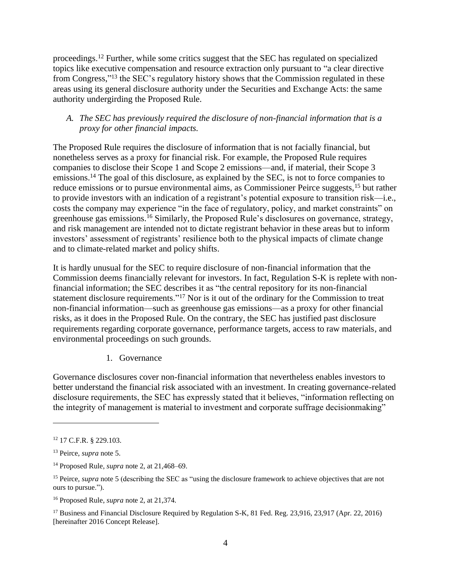proceedings.<sup>12</sup> Further, while some critics suggest that the SEC has regulated on specialized topics like executive compensation and resource extraction only pursuant to "a clear directive from Congress,"<sup>13</sup> the SEC's regulatory history shows that the Commission regulated in these areas using its general disclosure authority under the Securities and Exchange Acts: the same authority undergirding the Proposed Rule.

## <span id="page-3-0"></span>*A. The SEC has previously required the disclosure of non-financial information that is a proxy for other financial impacts.*

The Proposed Rule requires the disclosure of information that is not facially financial, but nonetheless serves as a proxy for financial risk. For example, the Proposed Rule requires companies to disclose their Scope 1 and Scope 2 emissions—and, if material, their Scope 3 emissions.<sup>14</sup> The goal of this disclosure, as explained by the SEC, is not to force companies to reduce emissions or to pursue environmental aims, as Commissioner Peirce suggests,<sup>15</sup> but rather to provide investors with an indication of a registrant's potential exposure to transition risk—i.e., costs the company may experience "in the face of regulatory, policy, and market constraints" on greenhouse gas emissions.<sup>16</sup> Similarly, the Proposed Rule's disclosures on governance, strategy, and risk management are intended not to dictate registrant behavior in these areas but to inform investors' assessment of registrants' resilience both to the physical impacts of climate change and to climate-related market and policy shifts.

It is hardly unusual for the SEC to require disclosure of non-financial information that the Commission deems financially relevant for investors. In fact, Regulation S-K is replete with nonfinancial information; the SEC describes it as "the central repository for its non-financial statement disclosure requirements."<sup>17</sup> Nor is it out of the ordinary for the Commission to treat non-financial information—such as greenhouse gas emissions—as a proxy for other financial risks, as it does in the Proposed Rule. On the contrary, the SEC has justified past disclosure requirements regarding corporate governance, performance targets, access to raw materials, and environmental proceedings on such grounds.

<span id="page-3-1"></span>1. Governance

Governance disclosures cover non-financial information that nevertheless enables investors to better understand the financial risk associated with an investment. In creating governance-related disclosure requirements, the SEC has expressly stated that it believes, "information reflecting on the integrity of management is material to investment and corporate suffrage decisionmaking"

<sup>12</sup> 17 C.F.R. § 229.103.

<sup>13</sup> Peirce, *supra* note [5.](#page-1-0)

<sup>14</sup> Proposed Rule, *supra* not[e 2,](#page-0-0) at 21,468–69.

<sup>&</sup>lt;sup>15</sup> Peirce, *supra* note [5](#page-0-1) (describing the SEC as "using the disclosure framework to achieve objectives that are not ours to pursue.").

<sup>16</sup> Proposed Rule, *supra* not[e 2,](#page-0-0) at 21,374.

<sup>&</sup>lt;sup>17</sup> Business and Financial Disclosure Required by Regulation S-K, 81 Fed. Reg. 23,916, 23,917 (Apr. 22, 2016) [hereinafter 2016 Concept Release].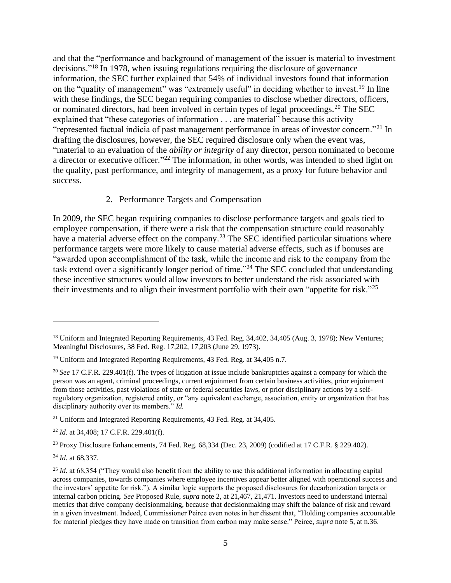and that the "performance and background of management of the issuer is material to investment decisions."<sup>18</sup> In 1978, when issuing regulations requiring the disclosure of governance information, the SEC further explained that 54% of individual investors found that information on the "quality of management" was "extremely useful" in deciding whether to invest.<sup>19</sup> In line with these findings, the SEC began requiring companies to disclose whether directors, officers, or nominated directors, had been involved in certain types of legal proceedings.<sup>20</sup> The SEC explained that "these categories of information . . . are material" because this activity "represented factual indicia of past management performance in areas of investor concern."<sup>21</sup> In drafting the disclosures, however, the SEC required disclosure only when the event was, "material to an evaluation of the *ability or integrity* of any director, person nominated to become a director or executive officer."<sup>22</sup> The information, in other words, was intended to shed light on the quality, past performance, and integrity of management, as a proxy for future behavior and success.

#### 2. Performance Targets and Compensation

In 2009, the SEC began requiring companies to disclose performance targets and goals tied to employee compensation, if there were a risk that the compensation structure could reasonably have a material adverse effect on the company.<sup>23</sup> The SEC identified particular situations where performance targets were more likely to cause material adverse effects, such as if bonuses are "awarded upon accomplishment of the task, while the income and risk to the company from the task extend over a significantly longer period of time."<sup>24</sup> The SEC concluded that understanding these incentive structures would allow investors to better understand the risk associated with their investments and to align their investment portfolio with their own "appetite for risk."<sup>25</sup>

<sup>24</sup> *Id.* at 68,337.

<sup>&</sup>lt;sup>18</sup> Uniform and Integrated Reporting Requirements, 43 Fed. Reg. 34,402, 34,405 (Aug. 3, 1978); New Ventures; Meaningful Disclosures, 38 Fed. Reg. 17,202, 17,203 (June 29, 1973).

<sup>&</sup>lt;sup>19</sup> Uniform and Integrated Reporting Requirements, 43 Fed. Reg. at 34,405 n.7.

<sup>20</sup> *See* 17 C.F.R. 229.401(f). The types of litigation at issue include bankruptcies against a company for which the person was an agent, criminal proceedings, current enjoinment from certain business activities, prior enjoinment from those activities, past violations of state or federal securities laws, or prior disciplinary actions by a selfregulatory organization, registered entity, or "any equivalent exchange, association, entity or organization that has disciplinary authority over its members." *Id.*

<sup>&</sup>lt;sup>21</sup> Uniform and Integrated Reporting Requirements, 43 Fed. Reg. at 34,405.

<sup>22</sup> *Id.* at 34,408; 17 C.F.R. 229.401(f).

<sup>&</sup>lt;sup>23</sup> Proxy Disclosure Enhancements, 74 Fed. Reg.  $68,334$  (Dec. 23, 2009) (codified at 17 C.F.R. § 229.402).

<sup>&</sup>lt;sup>25</sup> *Id.* at 68,354 ("They would also benefit from the ability to use this additional information in allocating capital across companies, towards companies where employee incentives appear better aligned with operational success and the investors' appetite for risk."). A similar logic supports the proposed disclosures for decarbonization targets or internal carbon pricing. *See* Proposed Rule, *supra* note [2,](#page-0-0) at 21,467, 21,471. Investors need to understand internal metrics that drive company decisionmaking, because that decisionmaking may shift the balance of risk and reward in a given investment. Indeed, Commissioner Peirce even notes in her dissent that, "Holding companies accountable for material pledges they have made on transition from carbon may make sense." Peirce, *supra* not[e 5,](#page-0-1) at n.36.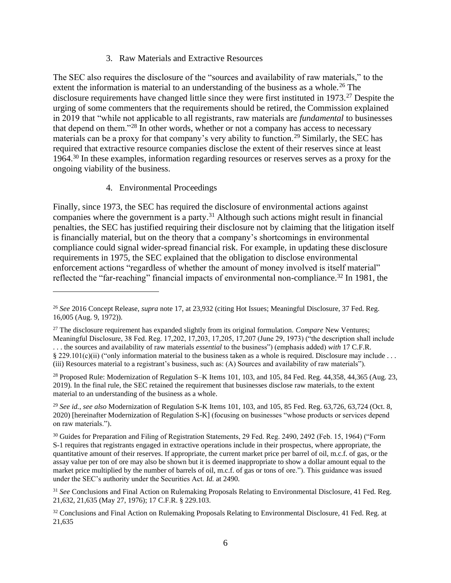#### 3. Raw Materials and Extractive Resources

The SEC also requires the disclosure of the "sources and availability of raw materials," to the extent the information is material to an understanding of the business as a whole.<sup>26</sup> The disclosure requirements have changed little since they were first instituted in 1973.<sup>27</sup> Despite the urging of some commenters that the requirements should be retired, the Commission explained in 2019 that "while not applicable to all registrants, raw materials are *fundamental* to businesses that depend on them."<sup>28</sup> In other words, whether or not a company has access to necessary materials can be a proxy for that company's very ability to function.<sup>29</sup> Similarly, the SEC has required that extractive resource companies disclose the extent of their reserves since at least 1964.<sup>30</sup> In these examples, information regarding resources or reserves serves as a proxy for the ongoing viability of the business.

### <span id="page-5-0"></span>4. Environmental Proceedings

Finally, since 1973, the SEC has required the disclosure of environmental actions against companies where the government is a party. <sup>31</sup> Although such actions might result in financial penalties, the SEC has justified requiring their disclosure not by claiming that the litigation itself is financially material, but on the theory that a company's shortcomings in environmental compliance could signal wider-spread financial risk. For example, in updating these disclosure requirements in 1975, the SEC explained that the obligation to disclose environmental enforcement actions "regardless of whether the amount of money involved is itself material" reflected the "far-reaching" financial impacts of environmental non-compliance.<sup>32</sup> In 1981, the

<sup>26</sup> *See* 2016 Concept Release, *supra* note [17,](#page-3-1) at 23,932 (citing Hot Issues; Meaningful Disclosure, 37 Fed. Reg. 16,005 (Aug. 9, 1972)).

<sup>27</sup> The disclosure requirement has expanded slightly from its original formulation. *Compare* New Ventures; Meaningful Disclosure, 38 Fed. Reg. 17,202, 17,203, 17,205, 17,207 (June 29, 1973) ("the description shall include . . . the sources and availability of raw materials *essential* to the business") (emphasis added) *with* 17 C.F.R. § 229.101(c)(ii) ("only information material to the business taken as a whole is required. Disclosure may include ... (iii) Resources material to a registrant's business, such as: (A) Sources and availability of raw materials").

<sup>&</sup>lt;sup>28</sup> Proposed Rule: Modernization of Regulation S–K Items 101, 103, and 105, 84 Fed. Reg. 44,358, 44,365 (Aug. 23, 2019). In the final rule, the SEC retained the requirement that businesses disclose raw materials, to the extent material to an understanding of the business as a whole.

<sup>29</sup> *See id.*, *see also* Modernization of Regulation S-K Items 101, 103, and 105, 85 Fed. Reg. 63,726, 63,724 (Oct. 8, 2020) [hereinafter Modernization of Regulation S-K] (focusing on businesses "whose products or services depend on raw materials.").

<sup>&</sup>lt;sup>30</sup> Guides for Preparation and Filing of Registration Statements, 29 Fed. Reg. 2490, 2492 (Feb. 15, 1964) ("Form S‑1 requires that registrants engaged in extractive operations include in their prospectus, where appropriate, the quantitative amount of their reserves. If appropriate, the current market price per barrel of oil, m.c.f. of gas, or the assay value per ton of ore may also be shown but it is deemed inappropriate to show a dollar amount equal to the market price multiplied by the number of barrels of oil, m.c.f. of gas or tons of ore."). This guidance was issued under the SEC's authority under the Securities Act. *Id.* at 2490.

<sup>31</sup> *See* Conclusions and Final Action on Rulemaking Proposals Relating to Environmental Disclosure, 41 Fed. Reg. 21,632, 21,635 (May 27, 1976); 17 C.F.R. § 229.103.

<sup>&</sup>lt;sup>32</sup> Conclusions and Final Action on Rulemaking Proposals Relating to Environmental Disclosure, 41 Fed. Reg. at 21,635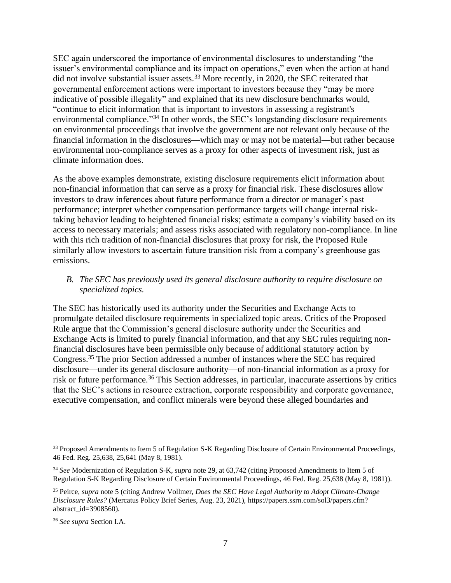SEC again underscored the importance of environmental disclosures to understanding "the issuer's environmental compliance and its impact on operations," even when the action at hand did not involve substantial issuer assets.<sup>33</sup> More recently, in 2020, the SEC reiterated that governmental enforcement actions were important to investors because they "may be more indicative of possible illegality" and explained that its new disclosure benchmarks would, "continue to elicit information that is important to investors in assessing a registrant's environmental compliance."<sup>34</sup> In other words, the SEC's longstanding disclosure requirements on environmental proceedings that involve the government are not relevant only because of the financial information in the disclosures—which may or may not be material—but rather because environmental non-compliance serves as a proxy for other aspects of investment risk, just as climate information does.

As the above examples demonstrate, existing disclosure requirements elicit information about non-financial information that can serve as a proxy for financial risk. These disclosures allow investors to draw inferences about future performance from a director or manager's past performance; interpret whether compensation performance targets will change internal risktaking behavior leading to heightened financial risks; estimate a company's viability based on its access to necessary materials; and assess risks associated with regulatory non-compliance. In line with this rich tradition of non-financial disclosures that proxy for risk, the Proposed Rule similarly allow investors to ascertain future transition risk from a company's greenhouse gas emissions.

## <span id="page-6-0"></span>*B. The SEC has previously used its general disclosure authority to require disclosure on specialized topics.*

<span id="page-6-1"></span>The SEC has historically used its authority under the Securities and Exchange Acts to promulgate detailed disclosure requirements in specialized topic areas. Critics of the Proposed Rule argue that the Commission's general disclosure authority under the Securities and Exchange Acts is limited to purely financial information, and that any SEC rules requiring nonfinancial disclosures have been permissible only because of additional statutory action by Congress.<sup>35</sup> The prior Section addressed a number of instances where the SEC has required disclosure—under its general disclosure authority—of non-financial information as a proxy for risk or future performance.<sup>36</sup> This Section addresses, in particular, inaccurate assertions by critics that the SEC's actions in resource extraction, corporate responsibility and corporate governance, executive compensation, and conflict minerals were beyond these alleged boundaries and

<sup>&</sup>lt;sup>33</sup> Proposed Amendments to Item 5 of Regulation S-K Regarding Disclosure of Certain Environmental Proceedings, 46 Fed. Reg. 25,638, 25,641 (May 8, 1981).

<sup>34</sup> *See* Modernization of Regulation S-K, *supra* note [29,](#page-5-0) at 63,742 (citing Proposed Amendments to Item 5 of Regulation S-K Regarding Disclosure of Certain Environmental Proceedings, 46 Fed. Reg. 25,638 (May 8, 1981)).

<sup>35</sup> Peirce, *supra* note [5](#page-0-1) (citing Andrew Vollmer, *Does the SEC Have Legal Authority to Adopt Climate-Change Disclosure Rules?* (Mercatus Policy Brief Series, Aug. 23, 2021), [https://papers.ssrn.com/sol3/papers.cfm?](https://papers.ssrn.com/sol3/papers.cfm?abstract_id=3908560) [abstract\\_id=3908560\)](https://papers.ssrn.com/sol3/papers.cfm?abstract_id=3908560).

<sup>36</sup> *See supra* Section I.A.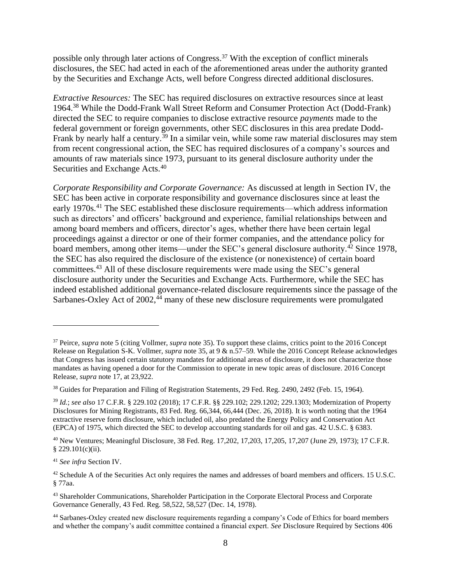possible only through later actions of Congress.<sup>37</sup> With the exception of conflict minerals disclosures, the SEC had acted in each of the aforementioned areas under the authority granted by the Securities and Exchange Acts, well before Congress directed additional disclosures.

*Extractive Resources:* The SEC has required disclosures on extractive resources since at least 1964.<sup>38</sup> While the Dodd-Frank Wall Street Reform and Consumer Protection Act (Dodd-Frank) directed the SEC to require companies to disclose extractive resource *payments* made to the federal government or foreign governments, other SEC disclosures in this area predate Dodd-Frank by nearly half a century.<sup>39</sup> In a similar vein, while some raw material disclosures may stem from recent congressional action, the SEC has required disclosures of a company's sources and amounts of raw materials since 1973, pursuant to its general disclosure authority under the Securities and Exchange Acts.<sup>40</sup>

*Corporate Responsibility and Corporate Governance:* As discussed at length in Section IV, the SEC has been active in corporate responsibility and governance disclosures since at least the early 1970s.<sup>41</sup> The SEC established these disclosure requirements—which address information such as directors' and officers' background and experience, familial relationships between and among board members and officers, director's ages, whether there have been certain legal proceedings against a director or one of their former companies, and the attendance policy for board members, among other items—under the SEC's general disclosure authority.<sup>42</sup> Since 1978, the SEC has also required the disclosure of the existence (or nonexistence) of certain board committees. <sup>43</sup> All of these disclosure requirements were made using the SEC's general disclosure authority under the Securities and Exchange Acts. Furthermore, while the SEC has indeed established additional governance-related disclosure requirements since the passage of the Sarbanes-Oxley Act of 2002,<sup>44</sup> many of these new disclosure requirements were promulgated

<sup>37</sup> Peirce, *supra* note [5](#page-0-1) (citing Vollmer, *supra* note [35\)](#page-6-1). To support these claims, critics point to the 2016 Concept Release on Regulation S-K. Vollmer, *supra* note [35,](#page-6-1) at 9 & n.57–59*.* While the 2016 Concept Release acknowledges that Congress has issued certain statutory mandates for additional areas of disclosure, it does not characterize those mandates as having opened a door for the Commission to operate in new topic areas of disclosure. 2016 Concept Release, *supra* note [17,](#page-3-1) at 23,922.

<sup>&</sup>lt;sup>38</sup> Guides for Preparation and Filing of Registration Statements, 29 Fed. Reg. 2490, 2492 (Feb. 15, 1964).

<sup>39</sup> *Id.*; *see also* 17 C.F.R. § 229.102 (2018); 17 C.F.R. §§ 229.102; 229.1202; 229.1303; Modernization of Property Disclosures for Mining Registrants, 83 Fed. Reg. 66,344, 66,444 (Dec. 26, 2018). It is worth noting that the 1964 extractive reserve form disclosure, which included oil, also predated the Energy Policy and Conservation Act (EPCA) of 1975, which directed the SEC to develop accounting standards for oil and gas. 42 U.S.C. § 6383*.*

<sup>40</sup> New Ventures; Meaningful Disclosure, 38 Fed. Reg. 17,202, 17,203, 17,205, 17,207 (June 29, 1973); 17 C.F.R. § 229.101(c)(ii).

<sup>41</sup> *See infra* Section IV.

<sup>&</sup>lt;sup>42</sup> Schedule A of the Securities Act only requires the names and addresses of board members and officers. 15 U.S.C. § 77aa.

<sup>&</sup>lt;sup>43</sup> Shareholder Communications, Shareholder Participation in the Corporate Electoral Process and Corporate Governance Generally, 43 Fed. Reg. 58,522, 58,527 (Dec. 14, 1978).

<sup>44</sup> Sarbanes-Oxley created new disclosure requirements regarding a company's Code of Ethics for board members and whether the company's audit committee contained a financial expert. *See* Disclosure Required by Sections 406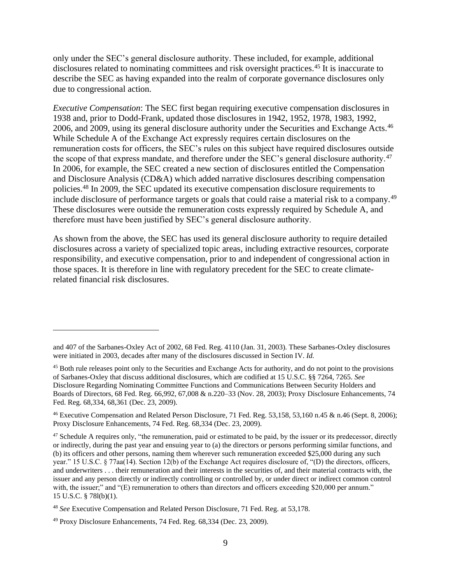only under the SEC's general disclosure authority. These included, for example, additional disclosures related to nominating committees and risk oversight practices.<sup>45</sup> It is inaccurate to describe the SEC as having expanded into the realm of corporate governance disclosures only due to congressional action.

*Executive Compensation*: The SEC first began requiring executive compensation disclosures in 1938 and, prior to Dodd-Frank, updated those disclosures in 1942, 1952, 1978, 1983, 1992, 2006, and 2009, using its general disclosure authority under the Securities and Exchange Acts.<sup>46</sup> While Schedule A of the Exchange Act expressly requires certain disclosures on the remuneration costs for officers, the SEC's rules on this subject have required disclosures outside the scope of that express mandate, and therefore under the SEC's general disclosure authority.<sup>47</sup> In 2006, for example, the SEC created a new section of disclosures entitled the Compensation and Disclosure Analysis (CD&A) which added narrative disclosures describing compensation policies.<sup>48</sup> In 2009, the SEC updated its executive compensation disclosure requirements to include disclosure of performance targets or goals that could raise a material risk to a company.<sup>49</sup> These disclosures were outside the remuneration costs expressly required by Schedule A, and therefore must have been justified by SEC's general disclosure authority.

As shown from the above, the SEC has used its general disclosure authority to require detailed disclosures across a variety of specialized topic areas, including extractive resources, corporate responsibility, and executive compensation, prior to and independent of congressional action in those spaces. It is therefore in line with regulatory precedent for the SEC to create climaterelated financial risk disclosures.

and 407 of the Sarbanes-Oxley Act of 2002, 68 Fed. Reg. 4110 (Jan. 31, 2003). These Sarbanes-Oxley disclosures were initiated in 2003, decades after many of the disclosures discussed in Section IV. *Id.*

<sup>&</sup>lt;sup>45</sup> Both rule releases point only to the Securities and Exchange Acts for authority, and do not point to the provisions of Sarbanes-Oxley that discuss additional disclosures, which are codified at 15 U.S.C. §§ 7264, 7265. *See*  Disclosure Regarding Nominating Committee Functions and Communications Between Security Holders and Boards of Directors, 68 Fed. Reg. 66,992, 67,008 & n.220–33 (Nov. 28, 2003); Proxy Disclosure Enhancements, 74 Fed. Reg. 68,334, 68,361 (Dec. 23, 2009).

<sup>46</sup> Executive Compensation and Related Person Disclosure, 71 Fed. Reg. 53,158, 53,160 n.45 & n.46 (Sept. 8, 2006); Proxy Disclosure Enhancements, 74 Fed. Reg. 68,334 (Dec. 23, 2009).

 $47$  Schedule A requires only, "the remuneration, paid or estimated to be paid, by the issuer or its predecessor, directly or indirectly, during the past year and ensuing year to (a) the directors or persons performing similar functions, and (b) its officers and other persons, naming them wherever such remuneration exceeded \$25,000 during any such year." 15 U.S.C. § 77aa(14). Section 12(b) of the Exchange Act requires disclosure of, "(D) the directors, officers, and underwriters . . . their remuneration and their interests in the securities of, and their material contracts with, the issuer and any person directly or indirectly controlling or controlled by, or under direct or indirect common control with, the issuer;" and "(E) remuneration to others than directors and officers exceeding \$20,000 per annum." 15 U.S.C. § 78l(b)(1).

<sup>48</sup> *See* Executive Compensation and Related Person Disclosure, 71 Fed. Reg. at 53,178.

 $49$  Proxy Disclosure Enhancements, 74 Fed. Reg.  $68,334$  (Dec. 23, 2009).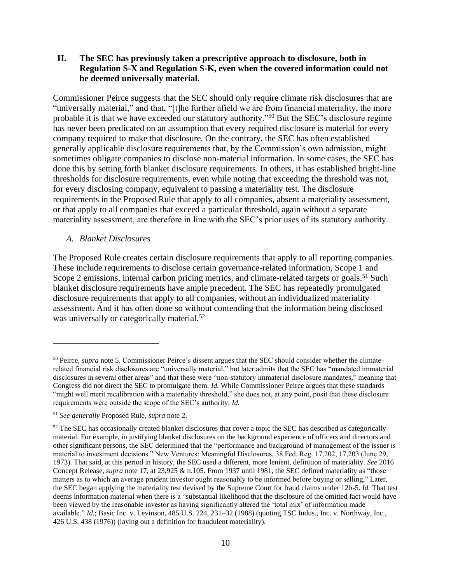## <span id="page-9-0"></span>**II. The SEC has previously taken a prescriptive approach to disclosure, both in Regulation S-X and Regulation S-K, even when the covered information could not be deemed universally material.**

Commissioner Peirce suggests that the SEC should only require climate risk disclosures that are "universally material," and that, "[t]he further afield we are from financial materiality, the more probable it is that we have exceeded our statutory authority."<sup>50</sup> But the SEC's disclosure regime has never been predicated on an assumption that every required disclosure is material for every company required to make that disclosure. On the contrary, the SEC has often established generally applicable disclosure requirements that, by the Commission's own admission, might sometimes obligate companies to disclose non-material information. In some cases, the SEC has done this by setting forth blanket disclosure requirements. In others, it has established bright-line thresholds for disclosure requirements, even while noting that exceeding the threshold was not, for every disclosing company, equivalent to passing a materiality test. The disclosure requirements in the Proposed Rule that apply to all companies, absent a materiality assessment, or that apply to all companies that exceed a particular threshold, again without a separate materiality assessment, are therefore in line with the SEC's prior uses of its statutory authority.

### <span id="page-9-1"></span>*A. Blanket Disclosures*

The Proposed Rule creates certain disclosure requirements that apply to all reporting companies. These include requirements to disclose certain governance-related information, Scope 1 and Scope 2 emissions, internal carbon pricing metrics, and climate-related targets or goals.<sup>51</sup> Such blanket disclosure requirements have ample precedent. The SEC has repeatedly promulgated disclosure requirements that apply to all companies, without an individualized materiality assessment. And it has often done so without contending that the information being disclosed was universally or categorically material.<sup>52</sup>

<sup>50</sup> Peirce, *supra* note [5.](#page-0-1) Commissioner Peirce's dissent argues that the SEC should consider whether the climaterelated financial risk disclosures are "universally material," but later admits that the SEC has "mandated immaterial disclosures in several other areas" and that these were "non-statutory immaterial disclosure mandates," meaning that Congress did not direct the SEC to promulgate them. *Id.* While Commissioner Peirce argues that these standards "might well merit recalibration with a materiality threshold," she does not, at any point, posit that these disclosure requirements were outside the scope of the SEC's authority. *Id.* 

<sup>51</sup> *See generally* Proposed Rule, *supra* note [2.](#page-0-0)

<sup>&</sup>lt;sup>52</sup> The SEC has occasionally created blanket disclosures that cover a topic the SEC has described as categorically material. For example, in justifying blanket disclosures on the background experience of officers and directors and other significant persons, the SEC determined that the "performance and background of management of the issuer is material to investment decisions." New Ventures; Meaningful Disclosures, 38 Fed. Reg. 17,202, 17,203 (June 29, 1973). That said, at this period in history, the SEC used a different, more lenient, definition of materiality. *See* 2016 Concept Release, *supra* note [17,](#page-3-1) at 23,925 & n.105. From 1937 until 1981, the SEC defined materiality as "those matters as to which an average prudent investor ought reasonably to be informed before buying or selling," Later, the SEC began applying the materiality test devised by the Supreme Court for fraud claims under 12b-5. *Id.* That test deems information material when there is a "substantial likelihood that the disclosure of the omitted fact would have been viewed by the reasonable investor as having significantly altered the 'total mix' of information made available." *Id.*; Basic Inc. v. Levinson, 485 U.S. 224, 231–32 (1988) (quoting TSC Indus., Inc. v. Northway, Inc., 426 U.S. 438 (1976)) (laying out a definition for fraudulent materiality).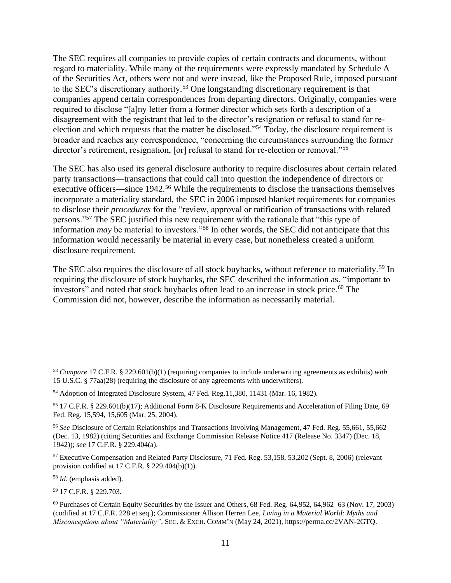The SEC requires all companies to provide copies of certain contracts and documents, without regard to materiality. While many of the requirements were expressly mandated by Schedule A of the Securities Act, others were not and were instead, like the Proposed Rule, imposed pursuant to the SEC's discretionary authority.<sup>53</sup> One longstanding discretionary requirement is that companies append certain correspondences from departing directors. Originally, companies were required to disclose "[a]ny letter from a former director which sets forth a description of a disagreement with the registrant that led to the director's resignation or refusal to stand for reelection and which requests that the matter be disclosed."<sup>54</sup> Today, the disclosure requirement is broader and reaches any correspondence, "concerning the circumstances surrounding the former director's retirement, resignation, [or] refusal to stand for re-election or removal."<sup>55</sup>

The SEC has also used its general disclosure authority to require disclosures about certain related party transactions—transactions that could call into question the independence of directors or executive officers—since 1942.<sup>56</sup> While the requirements to disclose the transactions themselves incorporate a materiality standard, the SEC in 2006 imposed blanket requirements for companies to disclose their *procedures* for the "review, approval or ratification of transactions with related persons."<sup>57</sup> The SEC justified this new requirement with the rationale that "this type of information *may* be material to investors."<sup>58</sup> In other words, the SEC did not anticipate that this information would necessarily be material in every case, but nonetheless created a uniform disclosure requirement.

The SEC also requires the disclosure of all stock buybacks, without reference to materiality.<sup>59</sup> In requiring the disclosure of stock buybacks, the SEC described the information as, "important to investors" and noted that stock buybacks often lead to an increase in stock price.<sup>60</sup> The Commission did not, however, describe the information as necessarily material.

<sup>58</sup> *Id.* (emphasis added).

<sup>59</sup> 17 C.F.R. § 229.703.

<sup>53</sup> *Compare* 17 C.F.R. § 229.601(b)(1) (requiring companies to include underwriting agreements as exhibits) *with*  15 U.S.C. § 77aa(28) (requiring the disclosure of any agreements with underwriters).

<sup>54</sup> Adoption of Integrated Disclosure System, 47 Fed. Reg.11,380, 11431 (Mar. 16, 1982).

<sup>55</sup> 17 C.F.R. § 229.601(b)(17); Additional Form 8-K Disclosure Requirements and Acceleration of Filing Date, 69 Fed. Reg. 15,594, 15,605 (Mar. 25, 2004).

<sup>56</sup> *See* Disclosure of Certain Relationships and Transactions Involving Management, 47 Fed. Reg. 55,661, 55,662 (Dec. 13, 1982) (citing Securities and Exchange Commission Release Notice 417 (Release No. 3347) (Dec. 18, 1942)); *see* 17 C.F.R. § 229.404(a).

<sup>57</sup> Executive Compensation and Related Party Disclosure, 71 Fed. Reg. 53,158, 53,202 (Sept. 8, 2006) (relevant provision codified at 17 C.F.R. § 229.404(b)(1)).

<sup>60</sup> Purchases of Certain Equity Securities by the Issuer and Others, 68 Fed. Reg. 64,952, 64,962–63 (Nov. 17, 2003) (codified at 17 C.F.R. 228 et seq.); Commissioner Allison Herren Lee, *Living in a Material World: Myths and Misconceptions about "Materiality"*, SEC. & EXCH. COMM'N (May 24, 2021), [https://perma.cc/2VAN-2GTQ.](https://perma.cc/2VAN-2GTQ)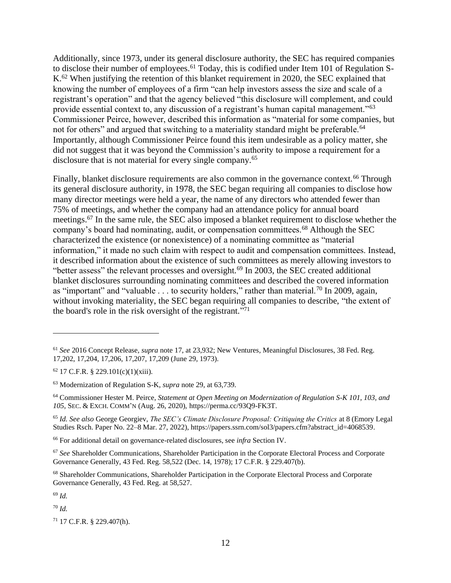Additionally, since 1973, under its general disclosure authority, the SEC has required companies to disclose their number of employees.<sup>61</sup> Today, this is codified under Item 101 of Regulation S-K.<sup>62</sup> When justifying the retention of this blanket requirement in 2020, the SEC explained that knowing the number of employees of a firm "can help investors assess the size and scale of a registrant's operation" and that the agency believed "this disclosure will complement, and could provide essential context to, any discussion of a registrant's human capital management."<sup>63</sup> Commissioner Peirce, however, described this information as "material for some companies, but not for others" and argued that switching to a materiality standard might be preferable.<sup>64</sup> Importantly, although Commissioner Peirce found this item undesirable as a policy matter, she did not suggest that it was beyond the Commission's authority to impose a requirement for a disclosure that is not material for every single company.<sup>65</sup>

Finally, blanket disclosure requirements are also common in the governance context.<sup>66</sup> Through its general disclosure authority, in 1978, the SEC began requiring all companies to disclose how many director meetings were held a year, the name of any directors who attended fewer than 75% of meetings, and whether the company had an attendance policy for annual board meetings.<sup>67</sup> In the same rule, the SEC also imposed a blanket requirement to disclose whether the company's board had nominating, audit, or compensation committees.<sup>68</sup> Although the SEC characterized the existence (or nonexistence) of a nominating committee as "material information," it made no such claim with respect to audit and compensation committees. Instead, it described information about the existence of such committees as merely allowing investors to "better assess" the relevant processes and oversight.<sup>69</sup> In 2003, the SEC created additional blanket disclosures surrounding nominating committees and described the covered information as "important" and "valuable  $\dots$  to security holders," rather than material.<sup>70</sup> In 2009, again, without invoking materiality, the SEC began requiring all companies to describe, "the extent of the board's role in the risk oversight of the registrant."<sup>71</sup>

<sup>66</sup> For additional detail on governance-related disclosures, see *infra* Section IV.

<sup>69</sup> *Id.*

<sup>70</sup> *Id.*

 $71$  17 C.F.R. § 229.407(h).

<sup>61</sup> *See* 2016 Concept Release, *supra* note [17,](#page-3-1) at 23,932; New Ventures, Meaningful Disclosures, 38 Fed. Reg. 17,202, 17,204, 17,206, 17,207, 17,209 (June 29, 1973).

 $62$  17 C.F.R. § 229.101(c)(1)(xiii).

<sup>63</sup> Modernization of Regulation S-K, *supra* note [29,](#page-5-0) at 63,739.

<sup>64</sup> Commissioner Hester M. Peirce, *Statement at Open Meeting on Modernization of Regulation S-K 101, 103, and 105*, SEC. & EXCH. COMM'N (Aug. 26, 2020), [https://perma.cc/93Q9-FK3T.](https://perma.cc/93Q9-FK3T)

<sup>65</sup> *Id. See also* George Georgiev, *The SEC's Climate Disclosure Proposal: Critiquing the Critics* at 8 (Emory Legal Studies Rsch. Paper No. 22–8 Mar. 27, 2022), [https://papers.ssrn.com/sol3/papers.cfm?abstract\\_id=4068539.](https://papers.ssrn.com/sol3/papers.cfm?abstract_id=4068539)

<sup>67</sup> *See* Shareholder Communications, Shareholder Participation in the Corporate Electoral Process and Corporate Governance Generally, 43 Fed. Reg. 58,522 (Dec. 14, 1978); 17 C.F.R. § 229.407(b).

<sup>68</sup> Shareholder Communications, Shareholder Participation in the Corporate Electoral Process and Corporate Governance Generally, 43 Fed. Reg. at 58,527.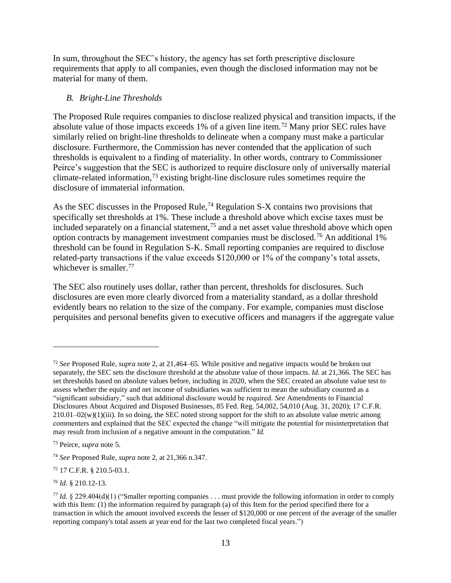In sum, throughout the SEC's history, the agency has set forth prescriptive disclosure requirements that apply to all companies, even though the disclosed information may not be material for many of them.

## <span id="page-12-0"></span>*B. Bright-Line Thresholds*

The Proposed Rule requires companies to disclose realized physical and transition impacts, if the absolute value of those impacts exceeds 1% of a given line item.<sup>72</sup> Many prior SEC rules have similarly relied on bright-line thresholds to delineate when a company must make a particular disclosure. Furthermore, the Commission has never contended that the application of such thresholds is equivalent to a finding of materiality. In other words, contrary to Commissioner Peirce's suggestion that the SEC is authorized to require disclosure only of universally material climate-related information, <sup>73</sup> existing bright-line disclosure rules sometimes require the disclosure of immaterial information.

As the SEC discusses in the Proposed Rule,  $^{74}$  Regulation S-X contains two provisions that specifically set thresholds at 1%. These include a threshold above which excise taxes must be included separately on a financial statement,<sup>75</sup> and a net asset value threshold above which open option contracts by management investment companies must be disclosed.<sup>76</sup> An additional 1% threshold can be found in Regulation S-K. Small reporting companies are required to disclose related-party transactions if the value exceeds \$120,000 or 1% of the company's total assets, whichever is smaller.<sup>77</sup>

The SEC also routinely uses dollar, rather than percent, thresholds for disclosures. Such disclosures are even more clearly divorced from a materiality standard, as a dollar threshold evidently bears no relation to the size of the company. For example, companies must disclose perquisites and personal benefits given to executive officers and managers if the aggregate value

<sup>76</sup> *Id.* § 210.12-13.

<sup>72</sup> *See* Proposed Rule, *supra* note [2,](#page-0-0) at 21,464–65. While positive and negative impacts would be broken out separately, the SEC sets the disclosure threshold at the absolute value of those impacts. *Id.* at 21,366. The SEC has set thresholds based on absolute values before, including in 2020, when the SEC created an absolute value test to assess whether the equity and net income of subsidiaries was sufficient to mean the subsidiary counted as a "significant subsidiary," such that additional disclosure would be required. *See* Amendments to Financial Disclosures About Acquired and Disposed Businesses, 85 Fed. Reg. 54,002, 54,010 (Aug. 31, 2020); 17 C.F.R.  $210.01-\frac{O2(w)}{1}$  iii). In so doing, the SEC noted strong support for the shift to an absolute value metric among commenters and explained that the SEC expected the change "will mitigate the potential for misinterpretation that may result from inclusion of a negative amount in the computation." *Id.*

<sup>73</sup> Peirce, *supra* note [5.](#page-0-1)

<sup>74</sup> *See* Proposed Rule, *supra* note [2,](#page-0-0) at 21,366 n.347.

<sup>75</sup> 17 C.F.R. § 210.5-03.1.

*<sup>77</sup> Id.* § 229.404(d)(1) ("Smaller reporting companies . . . must provide the following information in order to comply with this Item: (1) the information required by paragraph (a) of this Item for the period specified there for a transaction in which the amount involved exceeds the lesser of \$120,000 or one percent of the average of the smaller reporting company's total assets at year end for the last two completed fiscal years.")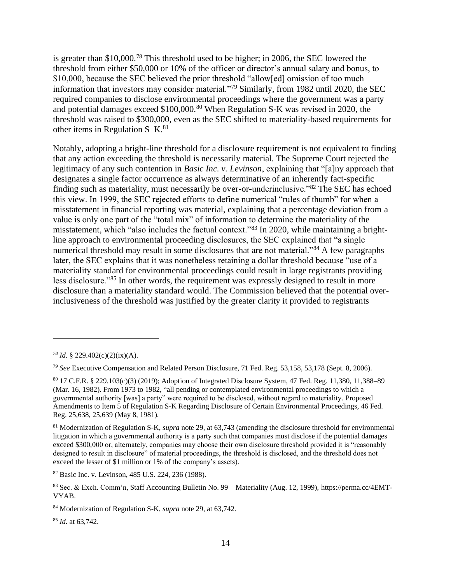is greater than \$10,000.<sup>78</sup> This threshold used to be higher; in 2006, the SEC lowered the threshold from either \$50,000 or 10% of the officer or director's annual salary and bonus, to \$10,000, because the SEC believed the prior threshold "allow[ed] omission of too much information that investors may consider material."<sup>79</sup> Similarly, from 1982 until 2020, the SEC required companies to disclose environmental proceedings where the government was a party and potential damages exceed \$100,000.<sup>80</sup> When Regulation S-K was revised in 2020, the threshold was raised to \$300,000, even as the SEC shifted to materiality-based requirements for other items in Regulation S–K.<sup>81</sup>

Notably, adopting a bright-line threshold for a disclosure requirement is not equivalent to finding that any action exceeding the threshold is necessarily material. The Supreme Court rejected the legitimacy of any such contention in *Basic Inc. v. Levinson*, explaining that "[a]ny approach that designates a single factor occurrence as always determinative of an inherently fact-specific finding such as materiality, must necessarily be over-or-underinclusive."<sup>82</sup> The SEC has echoed this view. In 1999, the SEC rejected efforts to define numerical "rules of thumb" for when a misstatement in financial reporting was material, explaining that a percentage deviation from a value is only one part of the "total mix" of information to determine the materiality of the misstatement, which "also includes the factual context."<sup>83</sup> In 2020, while maintaining a brightline approach to environmental proceeding disclosures, the SEC explained that "a single numerical threshold may result in some disclosures that are not material."<sup>84</sup> A few paragraphs later, the SEC explains that it was nonetheless retaining a dollar threshold because "use of a materiality standard for environmental proceedings could result in large registrants providing less disclosure."<sup>85</sup> In other words, the requirement was expressly designed to result in more disclosure than a materiality standard would. The Commission believed that the potential overinclusiveness of the threshold was justified by the greater clarity it provided to registrants

<sup>85</sup> *Id.* at 63,742.

*<sup>78</sup> Id.* § 229.402(c)(2)(ix)(A).

<sup>79</sup> *See* Executive Compensation and Related Person Disclosure, 71 Fed. Reg. 53,158, 53,178 (Sept. 8, 2006).

<sup>80</sup> 17 C.F.R. § 229.103(c)(3) (2019); Adoption of Integrated Disclosure System, 47 Fed. Reg. 11,380, 11,388–89 (Mar. 16, 1982). From 1973 to 1982, "all pending or contemplated environmental proceedings to which a governmental authority [was] a party" were required to be disclosed, without regard to materiality. Proposed Amendments to Item 5 of Regulation S-K Regarding Disclosure of Certain Environmental Proceedings, 46 Fed. Reg. 25,638, 25,639 (May 8, 1981).

<sup>81</sup> Modernization of Regulation S-K, *supra* note [29,](#page-5-0) at 63,743 (amending the disclosure threshold for environmental litigation in which a governmental authority is a party such that companies must disclose if the potential damages exceed \$300,000 or, alternately, companies may choose their own disclosure threshold provided it is "reasonably designed to result in disclosure" of material proceedings, the threshold is disclosed, and the threshold does not exceed the lesser of \$1 million or 1% of the company's assets).

<sup>82</sup> Basic Inc. v. Levinson, 485 U.S. 224, 236 (1988).

<sup>83</sup> Sec. & Exch. Comm'n, Staff Accounting Bulletin No. 99 – Materiality (Aug. 12, 1999), [https://perma.cc/4EMT-](https://perma.cc/4EMT-VYAB)[VYAB.](https://perma.cc/4EMT-VYAB)

<sup>84</sup> Modernization of Regulation S-K, *supra* not[e 29,](#page-5-0) at 63,742.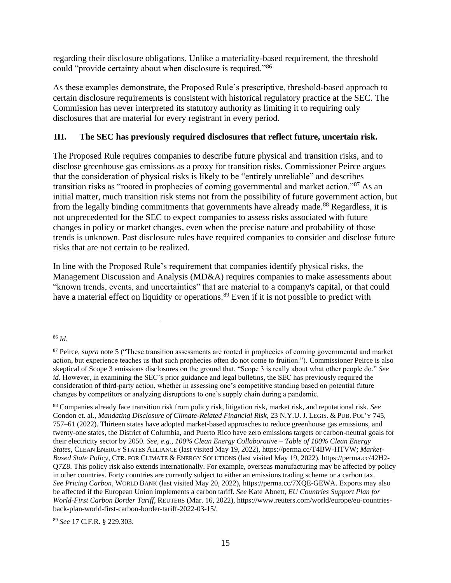regarding their disclosure obligations. Unlike a materiality-based requirement, the threshold could "provide certainty about when disclosure is required."<sup>86</sup>

As these examples demonstrate, the Proposed Rule's prescriptive, threshold-based approach to certain disclosure requirements is consistent with historical regulatory practice at the SEC. The Commission has never interpreted its statutory authority as limiting it to requiring only disclosures that are material for every registrant in every period.

## <span id="page-14-0"></span>**III. The SEC has previously required disclosures that reflect future, uncertain risk.**

<span id="page-14-1"></span>The Proposed Rule requires companies to describe future physical and transition risks, and to disclose greenhouse gas emissions as a proxy for transition risks. Commissioner Peirce argues that the consideration of physical risks is likely to be "entirely unreliable" and describes transition risks as "rooted in prophecies of coming governmental and market action."<sup>87</sup> As an initial matter, much transition risk stems not from the possibility of future government action, but from the legally binding commitments that governments have already made.<sup>88</sup> Regardless, it is not unprecedented for the SEC to expect companies to assess risks associated with future changes in policy or market changes, even when the precise nature and probability of those trends is unknown. Past disclosure rules have required companies to consider and disclose future risks that are not certain to be realized.

In line with the Proposed Rule's requirement that companies identify physical risks, the Management Discussion and Analysis (MD&A) requires companies to make assessments about "known trends, events, and uncertainties" that are material to a company's capital, or that could have a material effect on liquidity or operations.<sup>89</sup> Even if it is not possible to predict with

<sup>89</sup> *See* 17 C.F.R. § 229.303.

<sup>86</sup> *Id.*

<sup>87</sup> Peirce, *supra* note [5](#page-0-1) ("These transition assessments are rooted in prophecies of coming governmental and market action, but experience teaches us that such prophecies often do not come to fruition."). Commissioner Peirce is also skeptical of Scope 3 emissions disclosures on the ground that, "Scope 3 is really about what other people do." *See id*. However, in examining the SEC's prior guidance and legal bulletins, the SEC has previously required the consideration of third-party action, whether in assessing one's competitive standing based on potential future changes by competitors or analyzing disruptions to one's supply chain during a pandemic.

<sup>88</sup> Companies already face transition risk from policy risk, litigation risk, market risk, and reputational risk. *See*  Condon et. al., *Mandating Disclosure of Climate-Related Financial Risk*, 23 N.Y.U. J. LEGIS. & PUB.POL'Y 745, 757–61 (2022). Thirteen states have adopted market-based approaches to reduce greenhouse gas emissions, and twenty-one states, the District of Columbia, and Puerto Rico have zero emissions targets or carbon-neutral goals for their electricity sector by 2050. *See, e.g.*, *100% Clean Energy Collaborative – Table of 100% Clean Energy States*, CLEAN ENERGY STATES ALLIANCE (last visited May 19, 2022), [https://perma.cc/T4BW-HTVW;](https://perma.cc/T4BW-HTVW) *Market-Based State Policy*, CTR. FOR CLIMATE & ENERGY SOLUTIONS (last visited May 19, 2022), [https://perma.cc/42H2-](https://perma.cc/42H2-Q7Z8) [Q7Z8.](https://perma.cc/42H2-Q7Z8) This policy risk also extends internationally. For example, overseas manufacturing may be affected by policy in other countries. Forty countries are currently subject to either an emissions trading scheme or a carbon tax. *See Pricing Carbon*, WORLD BANK (last visited May 20, 2022), [https://perma.cc/7XQE-GEWA.](https://perma.cc/7XQE-GEWA) Exports may also be affected if the European Union implements a carbon tariff. *See* Kate Abnett, *EU Countries Support Plan for World-First Carbon Border Tariff*, REUTERS (Mar. 16, 2022), [https://www.reuters.com/world/europe/eu-countries](https://www.reuters.com/world/europe/eu-countries-back-plan-world-first-carbon-border-tariff-2022-03-15/)[back-plan-world-first-carbon-border-tariff-2022-03-15/.](https://www.reuters.com/world/europe/eu-countries-back-plan-world-first-carbon-border-tariff-2022-03-15/)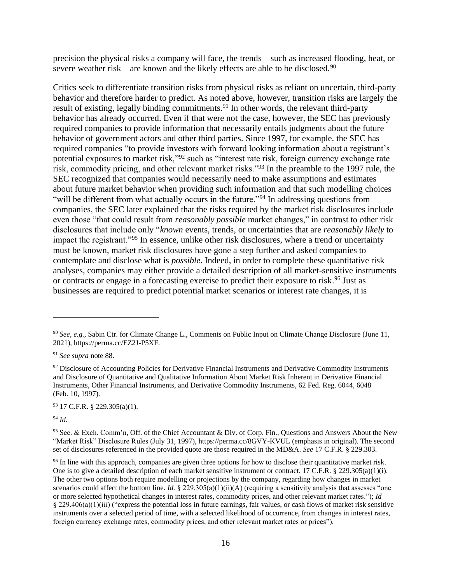precision the physical risks a company will face, the trends—such as increased flooding, heat, or severe weather risk—are known and the likely effects are able to be disclosed.<sup>90</sup>

Critics seek to differentiate transition risks from physical risks as reliant on uncertain, third-party behavior and therefore harder to predict. As noted above, however, transition risks are largely the result of existing, legally binding commitments.<sup>91</sup> In other words, the relevant third-party behavior has already occurred. Even if that were not the case, however, the SEC has previously required companies to provide information that necessarily entails judgments about the future behavior of government actors and other third parties. Since 1997, for example. the SEC has required companies "to provide investors with forward looking information about a registrant's potential exposures to market risk,"<sup>92</sup> such as "interest rate risk, foreign currency exchange rate risk, commodity pricing, and other relevant market risks."<sup>93</sup> In the preamble to the 1997 rule, the SEC recognized that companies would necessarily need to make assumptions and estimates about future market behavior when providing such information and that such modelling choices "will be different from what actually occurs in the future."<sup>94</sup> In addressing questions from companies, the SEC later explained that the risks required by the market risk disclosures include even those "that could result from *reasonably possible* market changes," in contrast to other risk disclosures that include only "*known* events, trends, or uncertainties that are *reasonably likely* to impact the registrant."<sup>95</sup> In essence, unlike other risk disclosures, where a trend or uncertainty must be known, market risk disclosures have gone a step further and asked companies to contemplate and disclose what is *possible*. Indeed, in order to complete these quantitative risk analyses, companies may either provide a detailed description of all market-sensitive instruments or contracts or engage in a forecasting exercise to predict their exposure to risk. <sup>96</sup> Just as businesses are required to predict potential market scenarios or interest rate changes, it is

<sup>93</sup> 17 C.F.R. § 229.305(a)(1).

<sup>94</sup> *Id.*

<span id="page-15-0"></span><sup>90</sup> *See, e.g.*, Sabin Ctr. for Climate Change L., Comments on Public Input on Climate Change Disclosure (June 11, 2021), [https://perma.cc/EZ2J-P5XF.](https://perma.cc/EZ2J-P5XF)

<sup>91</sup> *See supra* not[e 88.](#page-14-1)

 $92$  Disclosure of Accounting Policies for Derivative Financial Instruments and Derivative Commodity Instruments and Disclosure of Quantitative and Qualitative Information About Market Risk Inherent in Derivative Financial Instruments, Other Financial Instruments, and Derivative Commodity Instruments, 62 Fed. Reg. 6044, 6048 (Feb. 10, 1997).

<sup>95</sup> Sec. & Exch. Comm'n, Off. of the Chief Accountant & Div. of Corp. Fin., Questions and Answers About the New "Market Risk" Disclosure Rules (July 31, 1997)[, https://perma.cc/8GVY-KVUL](https://perma.cc/8GVY-KVUL) (emphasis in original). The second set of disclosures referenced in the provided quote are those required in the MD&A. *See* 17 C.F.R. § 229.303.

<sup>&</sup>lt;sup>96</sup> In line with this approach, companies are given three options for how to disclose their quantitative market risk. One is to give a detailed description of each market sensitive instrument or contract. 17 C.F.R. § 229.305(a)(1)(i). The other two options both require modelling or projections by the company, regarding how changes in market scenarios could affect the bottom line. *Id.* § 229.305(a)(1)(ii)(A) (requiring a sensitivity analysis that assesses "one or more selected hypothetical changes in interest rates, commodity prices, and other relevant market rates."); *Id* § 229.406(a)(1)(iii) ("express the potential loss in future earnings, fair values, or cash flows of market risk sensitive instruments over a selected period of time, with a selected likelihood of occurrence, from changes in interest rates, foreign currency exchange rates, commodity prices, and other relevant market rates or prices").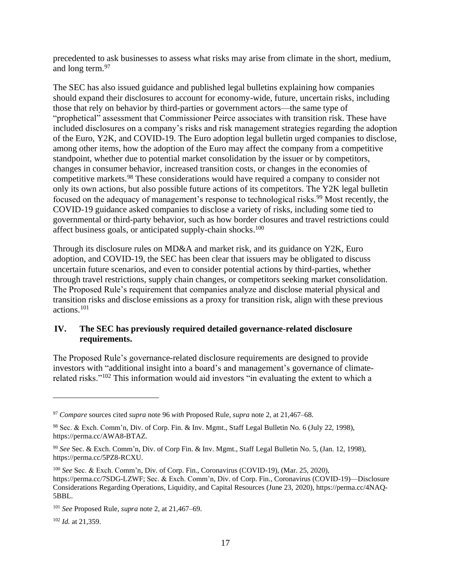precedented to ask businesses to assess what risks may arise from climate in the short, medium, and long term.<sup>97</sup>

The SEC has also issued guidance and published legal bulletins explaining how companies should expand their disclosures to account for economy-wide, future, uncertain risks, including those that rely on behavior by third-parties or government actors—the same type of "prophetical" assessment that Commissioner Peirce associates with transition risk. These have included disclosures on a company's risks and risk management strategies regarding the adoption of the Euro, Y2K, and COVID-19. The Euro adoption legal bulletin urged companies to disclose, among other items, how the adoption of the Euro may affect the company from a competitive standpoint, whether due to potential market consolidation by the issuer or by competitors, changes in consumer behavior, increased transition costs, or changes in the economies of competitive markets.<sup>98</sup> These considerations would have required a company to consider not only its own actions, but also possible future actions of its competitors. The Y2K legal bulletin focused on the adequacy of management's response to technological risks.<sup>99</sup> Most recently, the COVID-19 guidance asked companies to disclose a variety of risks, including some tied to governmental or third-party behavior, such as how border closures and travel restrictions could affect business goals, or anticipated supply-chain shocks.<sup>100</sup>

Through its disclosure rules on MD&A and market risk, and its guidance on Y2K, Euro adoption, and COVID-19, the SEC has been clear that issuers may be obligated to discuss uncertain future scenarios, and even to consider potential actions by third-parties, whether through travel restrictions, supply chain changes, or competitors seeking market consolidation. The Proposed Rule's requirement that companies analyze and disclose material physical and transition risks and disclose emissions as a proxy for transition risk, align with these previous actions.<sup>101</sup>

## <span id="page-16-0"></span>**IV. The SEC has previously required detailed governance-related disclosure requirements.**

The Proposed Rule's governance-related disclosure requirements are designed to provide investors with "additional insight into a board's and management's governance of climaterelated risks."<sup>102</sup> This information would aid investors "in evaluating the extent to which a

<sup>102</sup> *Id.* at 21,359.

<sup>97</sup> *Compare* sources cited *supra* not[e 96](#page-15-0) *with* Proposed Rule, *supra* note [2,](#page-0-0) at 21,467–68.

<sup>98</sup> Sec. & Exch. Comm'n, Div. of Corp. Fin. & Inv. Mgmt., Staff Legal Bulletin No. 6 (July 22, 1998), [https://perma.cc/AWA8-BTAZ.](https://perma.cc/AWA8-BTAZ)

<sup>99</sup> *See* Sec. & Exch. Comm'n, Div. of Corp Fin. & Inv. Mgmt., Staff Legal Bulletin No. 5, (Jan. 12, 1998), [https://perma.cc/5PZ8-RCXU.](https://perma.cc/5PZ8-RCXU)

<sup>100</sup> *See* Sec. & Exch. Comm'n, Div. of Corp. Fin., Coronavirus (COVID-19), (Mar. 25, 2020), [https://perma.cc/7SDG-LZWF;](https://perma.cc/7SDG-LZWF) Sec. & Exch. Comm'n, Div. of Corp. Fin., Coronavirus (COVID-19)—Disclosure Considerations Regarding Operations, Liquidity, and Capital Resources (June 23, 2020), [https://perma.cc/4NAQ-](https://perma.cc/4NAQ-5BBL)[5BBL.](https://perma.cc/4NAQ-5BBL)

<sup>101</sup> *See* Proposed Rule, *supra* not[e 2,](#page-0-0) at 21,467–69.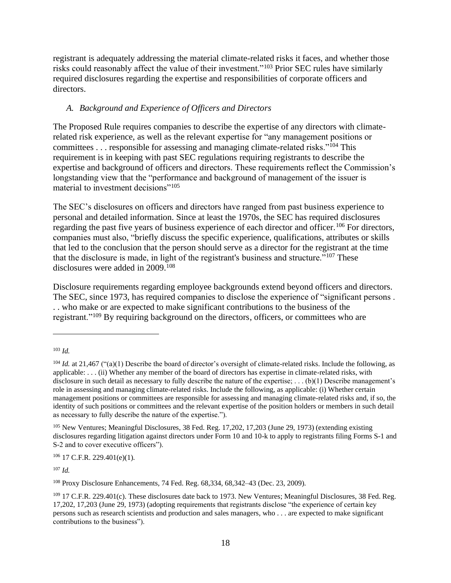registrant is adequately addressing the material climate-related risks it faces, and whether those risks could reasonably affect the value of their investment."<sup>103</sup> Prior SEC rules have similarly required disclosures regarding the expertise and responsibilities of corporate officers and directors.

# <span id="page-17-0"></span>*A. Background and Experience of Officers and Directors*

The Proposed Rule requires companies to describe the expertise of any directors with climaterelated risk experience, as well as the relevant expertise for "any management positions or committees . . . responsible for assessing and managing climate-related risks."<sup>104</sup> This requirement is in keeping with past SEC regulations requiring registrants to describe the expertise and background of officers and directors. These requirements reflect the Commission's longstanding view that the "performance and background of management of the issuer is material to investment decisions"<sup>105</sup>

The SEC's disclosures on officers and directors have ranged from past business experience to personal and detailed information. Since at least the 1970s, the SEC has required disclosures regarding the past five years of business experience of each director and officer.<sup>106</sup> For directors, companies must also, "briefly discuss the specific experience, qualifications, attributes or skills that led to the conclusion that the person should serve as a director for the registrant at the time that the disclosure is made, in light of the registrant's business and structure."<sup>107</sup> These disclosures were added in 2009. 108

Disclosure requirements regarding employee backgrounds extend beyond officers and directors. The SEC, since 1973, has required companies to disclose the experience of "significant persons . . . who make or are expected to make significant contributions to the business of the registrant."<sup>109</sup> By requiring background on the directors, officers, or committees who are

 $106$  17 C.F.R. 229.401(e)(1).

<sup>107</sup> *Id.*

<sup>108</sup> Proxy Disclosure Enhancements, 74 Fed. Reg. 68,334, 68,342–43 (Dec. 23, 2009).

<sup>103</sup> *Id.*

<sup>&</sup>lt;sup>104</sup> *Id.* at 21,467 ("(a)(1) Describe the board of director's oversight of climate-related risks. Include the following, as applicable: . . . (ii) Whether any member of the board of directors has expertise in climate-related risks, with disclosure in such detail as necessary to fully describe the nature of the expertise;  $\dots$  (b)(1) Describe management's role in assessing and managing climate-related risks. Include the following, as applicable: (i) Whether certain management positions or committees are responsible for assessing and managing climate-related risks and, if so, the identity of such positions or committees and the relevant expertise of the position holders or members in such detail as necessary to fully describe the nature of the expertise.").

<sup>105</sup> New Ventures; Meaningful Disclosures, 38 Fed. Reg. 17,202, 17,203 (June 29, 1973) (extending existing disclosures regarding litigation against directors under Form 10 and 10-k to apply to registrants filing Forms S-1 and S-2 and to cover executive officers").

<sup>&</sup>lt;sup>109</sup> 17 C.F.R. 229.401(c). These disclosures date back to 1973. New Ventures; Meaningful Disclosures, 38 Fed. Reg. 17,202, 17,203 (June 29, 1973) (adopting requirements that registrants disclose "the experience of certain key persons such as research scientists and production and sales managers, who . . . are expected to make significant contributions to the business").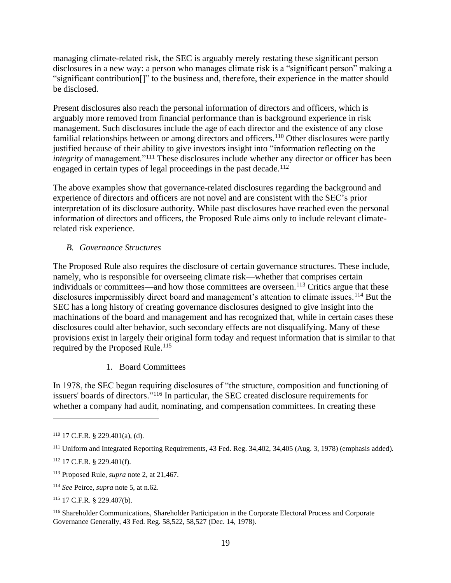managing climate-related risk, the SEC is arguably merely restating these significant person disclosures in a new way: a person who manages climate risk is a "significant person" making a "significant contribution[]" to the business and, therefore, their experience in the matter should be disclosed.

Present disclosures also reach the personal information of directors and officers, which is arguably more removed from financial performance than is background experience in risk management. Such disclosures include the age of each director and the existence of any close familial relationships between or among directors and officers.<sup>110</sup> Other disclosures were partly justified because of their ability to give investors insight into "information reflecting on the *integrity* of management."<sup>111</sup> These disclosures include whether any director or officer has been engaged in certain types of legal proceedings in the past decade.<sup>112</sup>

The above examples show that governance-related disclosures regarding the background and experience of directors and officers are not novel and are consistent with the SEC's prior interpretation of its disclosure authority. While past disclosures have reached even the personal information of directors and officers, the Proposed Rule aims only to include relevant climaterelated risk experience.

## <span id="page-18-0"></span>*B. Governance Structures*

The Proposed Rule also requires the disclosure of certain governance structures. These include, namely, who is responsible for overseeing climate risk—whether that comprises certain individuals or committees—and how those committees are overseen.<sup>113</sup> Critics argue that these disclosures impermissibly direct board and management's attention to climate issues.<sup>114</sup> But the SEC has a long history of creating governance disclosures designed to give insight into the machinations of the board and management and has recognized that, while in certain cases these disclosures could alter behavior, such secondary effects are not disqualifying. Many of these provisions exist in largely their original form today and request information that is similar to that required by the Proposed Rule. 115

1. Board Committees

In 1978, the SEC began requiring disclosures of "the structure, composition and functioning of issuers' boards of directors." <sup>116</sup> In particular, the SEC created disclosure requirements for whether a company had audit, nominating, and compensation committees. In creating these

 $110$  17 C.F.R. § 229.401(a), (d).

<sup>111</sup> Uniform and Integrated Reporting Requirements, 43 Fed. Reg. 34,402, 34,405 (Aug. 3, 1978) (emphasis added).

<sup>112</sup> 17 C.F.R. § 229.401(f).

<sup>113</sup> Proposed Rule, *supra* note [2,](#page-0-0) at 21,467.

<sup>114</sup> *See* Peirce, *supra* not[e 5,](#page-0-1) at n.62.

<sup>115</sup> 17 C.F.R. § 229.407(b).

<sup>116</sup> Shareholder Communications, Shareholder Participation in the Corporate Electoral Process and Corporate Governance Generally, 43 Fed. Reg. 58,522, 58,527 (Dec. 14, 1978).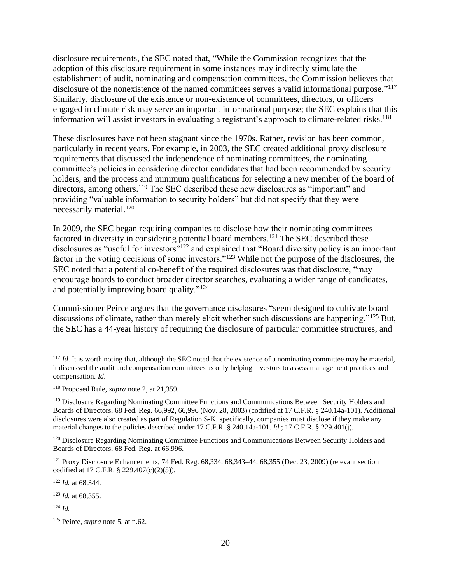disclosure requirements, the SEC noted that, "While the Commission recognizes that the adoption of this disclosure requirement in some instances may indirectly stimulate the establishment of audit, nominating and compensation committees, the Commission believes that disclosure of the nonexistence of the named committees serves a valid informational purpose."<sup>117</sup> Similarly, disclosure of the existence or non-existence of committees, directors, or officers engaged in climate risk may serve an important informational purpose; the SEC explains that this information will assist investors in evaluating a registrant's approach to climate-related risks. 118

These disclosures have not been stagnant since the 1970s. Rather, revision has been common, particularly in recent years. For example, in 2003, the SEC created additional proxy disclosure requirements that discussed the independence of nominating committees, the nominating committee's policies in considering director candidates that had been recommended by security holders, and the process and minimum qualifications for selecting a new member of the board of directors, among others.<sup>119</sup> The SEC described these new disclosures as "important" and providing "valuable information to security holders" but did not specify that they were necessarily material.<sup>120</sup>

In 2009, the SEC began requiring companies to disclose how their nominating committees factored in diversity in considering potential board members.<sup>121</sup> The SEC described these disclosures as "useful for investors"<sup>122</sup> and explained that "Board diversity policy is an important factor in the voting decisions of some investors."<sup>123</sup> While not the purpose of the disclosures, the SEC noted that a potential co-benefit of the required disclosures was that disclosure, "may encourage boards to conduct broader director searches, evaluating a wider range of candidates, and potentially improving board quality."<sup>124</sup>

Commissioner Peirce argues that the governance disclosures "seem designed to cultivate board discussions of climate, rather than merely elicit whether such discussions are happening."<sup>125</sup> But, the SEC has a 44-year history of requiring the disclosure of particular committee structures, and

<sup>122</sup> *Id.* at 68,344.

<sup>&</sup>lt;sup>117</sup> *Id*. It is worth noting that, although the SEC noted that the existence of a nominating committee may be material, it discussed the audit and compensation committees as only helping investors to assess management practices and compensation. *Id*.

<sup>118</sup> Proposed Rule, *supra* note [2,](#page-0-0) at 21,359.

<sup>119</sup> Disclosure Regarding Nominating Committee Functions and Communications Between Security Holders and Boards of Directors, 68 Fed. Reg. 66,992, 66,996 (Nov. 28, 2003) (codified at 17 C.F.R. § 240.14a-101). Additional disclosures were also created as part of Regulation S-K, specifically, companies must disclose if they make any material changes to the policies described under 17 C.F.R. § 240.14a-101. *Id.*; 17 C.F.R. § 229.401(j).

<sup>&</sup>lt;sup>120</sup> Disclosure Regarding Nominating Committee Functions and Communications Between Security Holders and Boards of Directors, 68 Fed. Reg. at 66,996.

 $121$  Proxy Disclosure Enhancements, 74 Fed. Reg. 68,334, 68,343–44, 68,355 (Dec. 23, 2009) (relevant section codified at 17 C.F.R. § 229.407(c)(2)(5)).

<sup>123</sup> *Id.* at 68,355.

 $124$  *Id.* 

<sup>125</sup> Peirce, *supra* note [5,](#page-0-1) at n.62.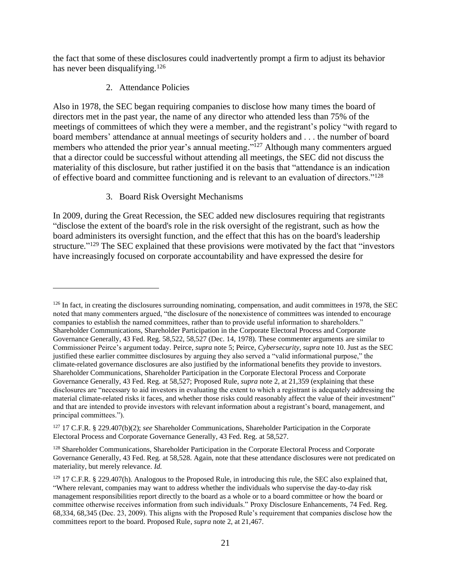the fact that some of these disclosures could inadvertently prompt a firm to adjust its behavior has never been disqualifying.<sup>126</sup>

2. Attendance Policies

Also in 1978, the SEC began requiring companies to disclose how many times the board of directors met in the past year, the name of any director who attended less than 75% of the meetings of committees of which they were a member, and the registrant's policy "with regard to board members' attendance at annual meetings of security holders and . . . the number of board members who attended the prior year's annual meeting."<sup>127</sup> Although many commenters argued that a director could be successful without attending all meetings, the SEC did not discuss the materiality of this disclosure, but rather justified it on the basis that "attendance is an indication of effective board and committee functioning and is relevant to an evaluation of directors."<sup>128</sup>

3. Board Risk Oversight Mechanisms

In 2009, during the Great Recession, the SEC added new disclosures requiring that registrants "disclose the extent of the board's role in the risk oversight of the registrant, such as how the board administers its oversight function, and the effect that this has on the board's leadership structure."<sup>129</sup> The SEC explained that these provisions were motivated by the fact that "investors" have increasingly focused on corporate accountability and have expressed the desire for

 $126$  In fact, in creating the disclosures surrounding nominating, compensation, and audit committees in 1978, the SEC noted that many commenters argued, "the disclosure of the nonexistence of committees was intended to encourage companies to establish the named committees, rather than to provide useful information to shareholders." Shareholder Communications, Shareholder Participation in the Corporate Electoral Process and Corporate Governance Generally, 43 Fed. Reg. 58,522, 58,527 (Dec. 14, 1978). These commenter arguments are similar to Commissioner Peirce's argument today. Peirce, *supra* note [5;](#page-1-0) Peirce, *Cybersecurity*, *supra* not[e 10.](#page-1-1) Just as the SEC justified these earlier committee disclosures by arguing they also served a "valid informational purpose," the climate-related governance disclosures are also justified by the informational benefits they provide to investors. Shareholder Communications, Shareholder Participation in the Corporate Electoral Process and Corporate Governance Generally, 43 Fed. Reg. at 58,527; Proposed Rule, *supra* note [2,](#page-0-0) at 21,359 (explaining that these disclosures are "necessary to aid investors in evaluating the extent to which a registrant is adequately addressing the material climate-related risks it faces, and whether those risks could reasonably affect the value of their investment" and that are intended to provide investors with relevant information about a registrant's board, management, and principal committees.").

<sup>127</sup> 17 C.F.R. § 229.407(b)(2); *see* Shareholder Communications, Shareholder Participation in the Corporate Electoral Process and Corporate Governance Generally, 43 Fed. Reg. at 58,527.

<sup>&</sup>lt;sup>128</sup> Shareholder Communications, Shareholder Participation in the Corporate Electoral Process and Corporate Governance Generally, 43 Fed. Reg. at 58,528. Again, note that these attendance disclosures were not predicated on materiality, but merely relevance. *Id.*

<sup>&</sup>lt;sup>129</sup> 17 C.F.R. § 229.407(h). Analogous to the Proposed Rule, in introducing this rule, the SEC also explained that, "Where relevant, companies may want to address whether the individuals who supervise the day-to-day risk management responsibilities report directly to the board as a whole or to a board committee or how the board or committee otherwise receives information from such individuals." Proxy Disclosure Enhancements, 74 Fed. Reg. 68,334, 68,345 (Dec. 23, 2009). This aligns with the Proposed Rule's requirement that companies disclose how the committees report to the board. Proposed Rule, *supra* not[e 2,](#page-0-0) at 21,467.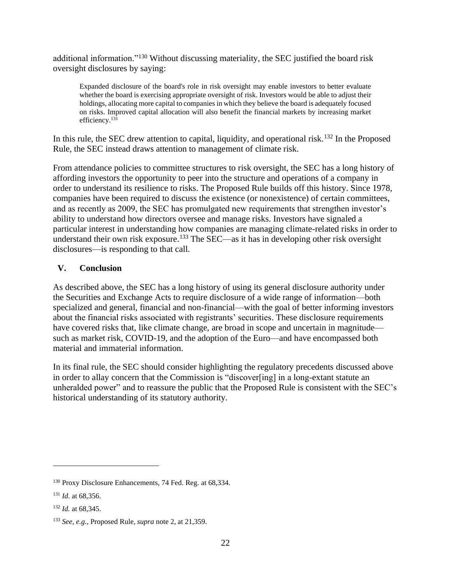additional information."<sup>130</sup> Without discussing materiality, the SEC justified the board risk oversight disclosures by saying:

Expanded disclosure of the board's role in risk oversight may enable investors to better evaluate whether the board is exercising appropriate oversight of risk. Investors would be able to adjust their holdings, allocating more capital to companies in which they believe the board is adequately focused on risks. Improved capital allocation will also benefit the financial markets by increasing market efficiency.<sup>131</sup>

In this rule, the SEC drew attention to capital, liquidity, and operational risk.<sup>132</sup> In the Proposed Rule, the SEC instead draws attention to management of climate risk.

From attendance policies to committee structures to risk oversight, the SEC has a long history of affording investors the opportunity to peer into the structure and operations of a company in order to understand its resilience to risks. The Proposed Rule builds off this history. Since 1978, companies have been required to discuss the existence (or nonexistence) of certain committees, and as recently as 2009, the SEC has promulgated new requirements that strengthen investor's ability to understand how directors oversee and manage risks. Investors have signaled a particular interest in understanding how companies are managing climate-related risks in order to understand their own risk exposure. <sup>133</sup> The SEC—as it has in developing other risk oversight disclosures—is responding to that call.

# <span id="page-21-0"></span>**V. Conclusion**

As described above, the SEC has a long history of using its general disclosure authority under the Securities and Exchange Acts to require disclosure of a wide range of information—both specialized and general, financial and non-financial—with the goal of better informing investors about the financial risks associated with registrants' securities. These disclosure requirements have covered risks that, like climate change, are broad in scope and uncertain in magnitude such as market risk, COVID-19, and the adoption of the Euro—and have encompassed both material and immaterial information.

In its final rule, the SEC should consider highlighting the regulatory precedents discussed above in order to allay concern that the Commission is "discover[ing] in a long-extant statute an unheralded power" and to reassure the public that the Proposed Rule is consistent with the SEC's historical understanding of its statutory authority.

<sup>130</sup> Proxy Disclosure Enhancements, 74 Fed. Reg. at 68,334.

<sup>131</sup> *Id*. at 68,356.

<sup>132</sup> *Id.* at 68,345.

<sup>133</sup> *See, e.g.*, Proposed Rule, *supra* not[e 2,](#page-0-0) at 21,359.